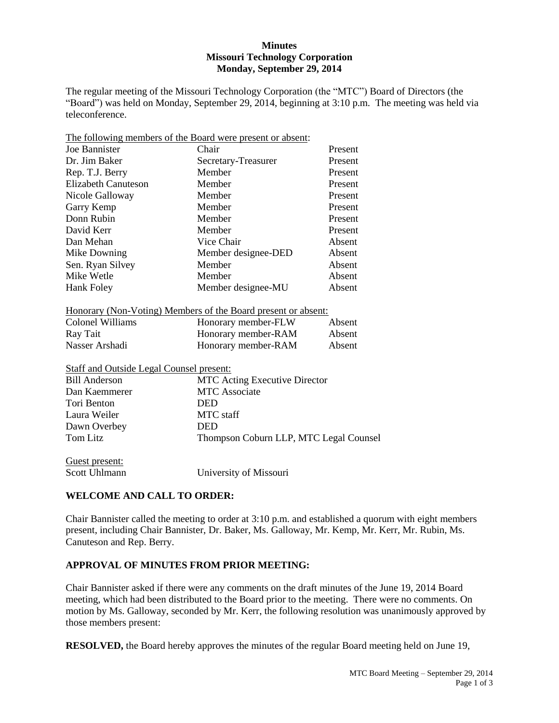### **Minutes Missouri Technology Corporation Monday, September 29, 2014**

The regular meeting of the Missouri Technology Corporation (the "MTC") Board of Directors (the "Board") was held on Monday, September 29, 2014, beginning at 3:10 p.m. The meeting was held via teleconference.

| Joe Bannister                                   | Chair<br>Present                                                     |         |  |
|-------------------------------------------------|----------------------------------------------------------------------|---------|--|
| Dr. Jim Baker                                   | Secretary-Treasurer                                                  | Present |  |
| Rep. T.J. Berry                                 | Member                                                               | Present |  |
| <b>Elizabeth Canuteson</b>                      | Member<br>Present                                                    |         |  |
| Nicole Galloway                                 | Member<br>Present                                                    |         |  |
| Garry Kemp                                      | Member                                                               | Present |  |
| Donn Rubin                                      | Member                                                               | Present |  |
| David Kerr                                      | Member                                                               | Present |  |
| Dan Mehan                                       | Vice Chair                                                           | Absent  |  |
| Mike Downing                                    | Member designee-DED                                                  | Absent  |  |
| Sen. Ryan Silvey                                | Member                                                               | Absent  |  |
| Mike Wetle                                      | Member                                                               | Absent  |  |
| Hank Foley                                      | Member designee-MU                                                   | Absent  |  |
|                                                 | <u>Honorary (Non-Voting) Members of the Board present or absent:</u> |         |  |
| <b>Colonel Williams</b>                         | Honorary member-FLW                                                  | Absent  |  |
| Ray Tait                                        | Honorary member-RAM                                                  | Absent  |  |
| Nasser Arshadi                                  | Honorary member-RAM                                                  | Absent  |  |
| <b>Staff and Outside Legal Counsel present:</b> |                                                                      |         |  |
| <b>Bill Anderson</b>                            | <b>MTC Acting Executive Director</b>                                 |         |  |
| Dan Kaemmerer                                   | <b>MTC</b> Associate                                                 |         |  |
| Tori Benton                                     | <b>DED</b>                                                           |         |  |
| Laura Weiler                                    | <b>MTC</b> staff                                                     |         |  |
| Dawn Overbey                                    | <b>DED</b>                                                           |         |  |
| <b>Tom Litz</b>                                 | Thompson Coburn LLP, MTC Legal Counsel                               |         |  |
| Guest present:                                  |                                                                      |         |  |

The following members of the Board were present or absent:

# **WELCOME AND CALL TO ORDER:**

Scott Uhlmann University of Missouri

Chair Bannister called the meeting to order at 3:10 p.m. and established a quorum with eight members present, including Chair Bannister, Dr. Baker, Ms. Galloway, Mr. Kemp, Mr. Kerr, Mr. Rubin, Ms. Canuteson and Rep. Berry.

## **APPROVAL OF MINUTES FROM PRIOR MEETING:**

Chair Bannister asked if there were any comments on the draft minutes of the June 19, 2014 Board meeting, which had been distributed to the Board prior to the meeting. There were no comments. On motion by Ms. Galloway, seconded by Mr. Kerr, the following resolution was unanimously approved by those members present:

**RESOLVED,** the Board hereby approves the minutes of the regular Board meeting held on June 19,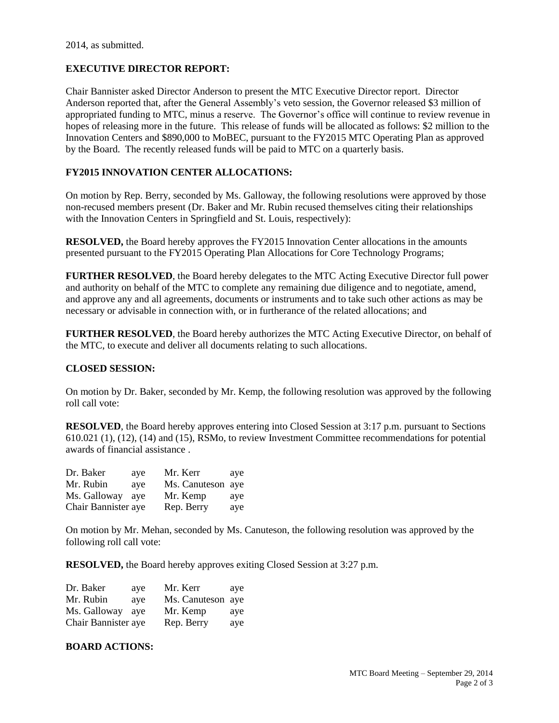## **EXECUTIVE DIRECTOR REPORT:**

Chair Bannister asked Director Anderson to present the MTC Executive Director report. Director Anderson reported that, after the General Assembly's veto session, the Governor released \$3 million of appropriated funding to MTC, minus a reserve. The Governor's office will continue to review revenue in hopes of releasing more in the future. This release of funds will be allocated as follows: \$2 million to the Innovation Centers and \$890,000 to MoBEC, pursuant to the FY2015 MTC Operating Plan as approved by the Board. The recently released funds will be paid to MTC on a quarterly basis.

## **FY2015 INNOVATION CENTER ALLOCATIONS:**

On motion by Rep. Berry, seconded by Ms. Galloway, the following resolutions were approved by those non-recused members present (Dr. Baker and Mr. Rubin recused themselves citing their relationships with the Innovation Centers in Springfield and St. Louis, respectively):

**RESOLVED,** the Board hereby approves the FY2015 Innovation Center allocations in the amounts presented pursuant to the FY2015 Operating Plan Allocations for Core Technology Programs;

**FURTHER RESOLVED**, the Board hereby delegates to the MTC Acting Executive Director full power and authority on behalf of the MTC to complete any remaining due diligence and to negotiate, amend, and approve any and all agreements, documents or instruments and to take such other actions as may be necessary or advisable in connection with, or in furtherance of the related allocations; and

**FURTHER RESOLVED**, the Board hereby authorizes the MTC Acting Executive Director, on behalf of the MTC, to execute and deliver all documents relating to such allocations.

#### **CLOSED SESSION:**

On motion by Dr. Baker, seconded by Mr. Kemp, the following resolution was approved by the following roll call vote:

**RESOLVED**, the Board hereby approves entering into Closed Session at 3:17 p.m. pursuant to Sections 610.021 (1), (12), (14) and (15), RSMo, to review Investment Committee recommendations for potential awards of financial assistance .

| Dr. Baker           | ave | Mr. Kerr          | ave |
|---------------------|-----|-------------------|-----|
| Mr. Rubin           | ave | Ms. Canuteson aye |     |
| Ms. Galloway        | ave | Mr. Kemp          | ave |
| Chair Bannister aye |     | Rep. Berry        | aye |

On motion by Mr. Mehan, seconded by Ms. Canuteson, the following resolution was approved by the following roll call vote:

**RESOLVED,** the Board hereby approves exiting Closed Session at 3:27 p.m.

| Dr. Baker           | ave | Mr. Kerr          | ave |
|---------------------|-----|-------------------|-----|
| Mr. Rubin           | ave | Ms. Canuteson aye |     |
| Ms. Galloway        | ave | Mr. Kemp          | aye |
| Chair Bannister aye |     | Rep. Berry        | aye |

#### **BOARD ACTIONS:**